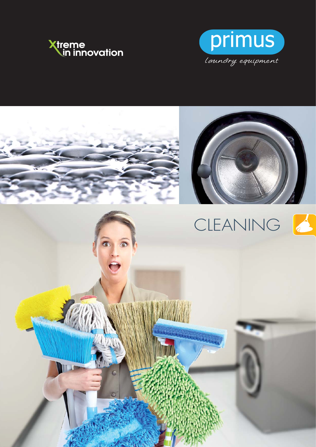



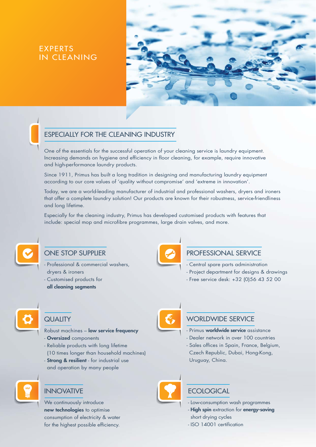# EXPERTS IN CLEANING





## ESPECIALLY FOR THE CLEANING INDUSTRY

One of the essentials for the successful operation of your cleaning service is laundry equipment. Increasing demands on hygiene and efficiency in floor cleaning, for example, require innovative and high-performance laundry products.

Since 1911, Primus has built a long tradition in designing and manufacturing laundry equipment according to our core values of 'quality without compromise' and 'extreme in innovation'.

Today, we are a world-leading manufacturer of industrial and professional washers, dryers and ironers that offer a complete laundry solution! Our products are known for their robustness, service-friendliness and long lifetime.

Especially for the cleaning industry, Primus has developed customised products with features that include: special mop and microfibre programmes, large drain valves, and more.



## ONE STOP SUPPLIER

- Professional & commercial washers, dryers & ironers - Customised products for all cleaning segments



# PROFESSIONAL SERVICE

- Central spare parts administration
- Project department for designs & drawings
- Free service desk: +32 (0)56 43 52 00



### **QUALITY**

Robust machines – low service frequency - Oversized components

- Reliable products with long lifetime
- (10 times longer than household machines)
- **Strong & resilient** for industrial use and operation by many people



## INNOVATIVE

We continuously introduce new technologies to optimise consumption of electricity & water for the highest possible efficiency.



## WORLDWIDE SERVICE

- Primus **worldwide service** assistance
- Dealer network in over 100 countries
- Sales offices in Spain, France, Belgium, Czech Republic, Dubai, Hong-Kong, Uruguay, China.



# **ECOLOGICAL**

- Low-consumption wash programmes
- **High spin** extraction for **energy-saving** short drying cycles
- ISO 14001 certification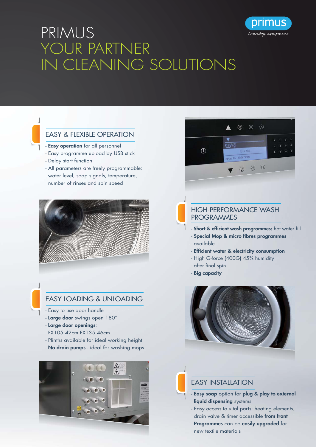



### **FASY & FIFXIBLE OPERATION**

- Easy operation for all personnel
- Easy programme upload by USB stick
- Delay start function
- All parameters are freely programmable: water level, soap signals, temperature, number of rinses and spin speed



## EASY LOADING & UNLOADING

- Easy to use door handle
- Large door swings open 180°
- Large door openings:
- FX105 42cm FX135 46cm
- Plinths available for ideal working height
- No drain pumps ideal for washing mops





orımus

laundry equipment

### HIGH-PERFORMANCE WASH PROGRAMMES

- Short & efficient wash programmes: hot water fill
- Special Mop & micro fibres programmes available
- Efficient water & electricity consumption
- High G-force (400G) 45% humidity after final spin
- Big capacity



## **FASY INSTALLATION**

- Easy soap option for plug & play to external liquid dispensing systems
- Easy access to vital parts: heating elements, drain valve & timer accessible from front
- Programmes can be easily upgraded for new textile materials